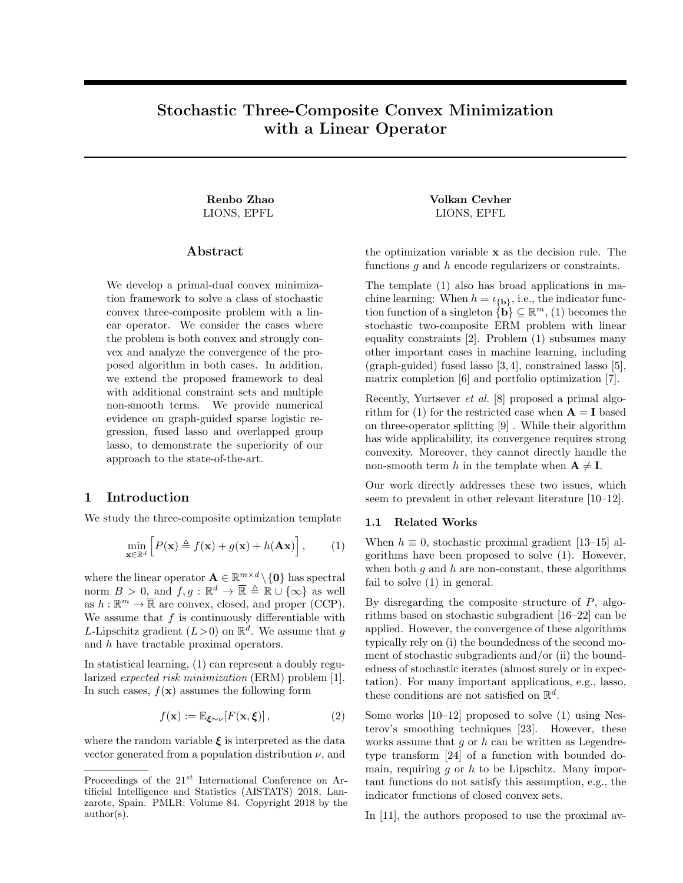# <span id="page-0-1"></span>Stochastic Three-Composite Convex Minimization with a Linear Operator

# Abstract

We develop a primal-dual convex minimization framework to solve a class of stochastic convex three-composite problem with a linear operator. We consider the cases where the problem is both convex and strongly convex and analyze the convergence of the proposed algorithm in both cases. In addition, we extend the proposed framework to deal with additional constraint sets and multiple non-smooth terms. We provide numerical evidence on graph-guided sparse logistic regression, fused lasso and overlapped group lasso, to demonstrate the superiority of our approach to the state-of-the-art.

# 1 Introduction

We study the three-composite optimization template

<span id="page-0-0"></span>
$$
\min_{\mathbf{x} \in \mathbb{R}^d} \left[ P(\mathbf{x}) \triangleq f(\mathbf{x}) + g(\mathbf{x}) + h(\mathbf{A}\mathbf{x}) \right],\tag{1}
$$

where the linear operator  $\mathbf{A} \in \mathbb{R}^{m \times d} \setminus \{\mathbf{0}\}\$  has spectral norm  $B > 0$ , and  $f, g : \mathbb{R}^d \to \overline{\mathbb{R}} \triangleq \mathbb{R} \cup {\infty}$  as well as  $h : \mathbb{R}^m \to \overline{\mathbb{R}}$  are convex, closed, and proper (CCP). We assume that  $f$  is continuously differentiable with L-Lipschitz gradient  $(L>0)$  on  $\mathbb{R}^d$ . We assume that g and h have tractable proximal operators.

In statistical learning, [\(1\)](#page-0-0) can represent a doubly regularized expected risk minimization (ERM) problem [\[1\]](#page-8-0). In such cases,  $f(\mathbf{x})$  assumes the following form

<span id="page-0-2"></span>
$$
f(\mathbf{x}) := \mathbb{E}_{\xi \sim \nu}[F(\mathbf{x}, \xi)], \qquad (2)
$$

where the random variable  $\xi$  is interpreted as the data vector generated from a population distribution  $\nu$ , and

Renbo Zhao  $V$ olkan Cevher LIONS, EPFL LIONS, EPFL

> the optimization variable x as the decision rule. The functions  $q$  and  $h$  encode regularizers or constraints.

> The template [\(1\)](#page-0-0) also has broad applications in machine learning: When  $h = \iota_{\{\mathbf{b}\}}$ , i.e., the indicator function function of a singleton  $\{\mathbf{b}\}\subseteq \mathbb{R}^m$ , [\(1\)](#page-0-0) becomes the stochastic two-composite ERM problem with linear equality constraints [\[2\]](#page-8-1). Problem [\(1\)](#page-0-0) subsumes many other important cases in machine learning, including (graph-guided) fused lasso [\[3,](#page-8-2) [4\]](#page-8-3), constrained lasso [\[5\]](#page-8-4), matrix completion [\[6\]](#page-8-5) and portfolio optimization [\[7\]](#page-8-6).

> Recently, Yurtsever et al. [\[8\]](#page-8-7) proposed a primal algo-rithm for [\(1\)](#page-0-0) for the restricted case when  $\mathbf{A} = \mathbf{I}$  based on three-operator splitting [\[9\]](#page-8-8) . While their algorithm has wide applicability, its convergence requires strong convexity. Moreover, they cannot directly handle the non-smooth term h in the template when  $A \neq I$ .

> Our work directly addresses these two issues, which seem to prevalent in other relevant literature [\[10–](#page-8-9)[12\]](#page-8-10).

#### 1.1 Related Works

When  $h \equiv 0$ , stochastic proximal gradient [\[13–](#page-8-11)[15\]](#page-8-12) algorithms have been proposed to solve [\(1\)](#page-0-0). However, when both  $g$  and  $h$  are non-constant, these algorithms fail to solve [\(1\)](#page-0-0) in general.

By disregarding the composite structure of  $P$ , algorithms based on stochastic subgradient [\[16–](#page-8-13)[22\]](#page-8-14) can be applied. However, the convergence of these algorithms typically rely on (i) the boundedness of the second moment of stochastic subgradients and/or (ii) the boundedness of stochastic iterates (almost surely or in expectation). For many important applications, e.g., lasso, these conditions are not satisfied on  $\mathbb{R}^d$ .

Some works [\[10](#page-8-9)[–12\]](#page-8-10) proposed to solve [\(1\)](#page-0-0) using Nesterov's smoothing techniques [\[23\]](#page-8-15). However, these works assume that  $g$  or  $h$  can be written as Legendretype transform [\[24\]](#page-8-16) of a function with bounded domain, requiring  $g$  or  $h$  to be Lipschitz. Many important functions do not satisfy this assumption, e.g., the indicator functions of closed convex sets.

In [\[11\]](#page-8-17), the authors proposed to use the proximal av-

Proceedings of the  $21^{st}$  International Conference on Artificial Intelligence and Statistics (AISTATS) 2018, Lanzarote, Spain. PMLR: Volume 84. Copyright 2018 by the author(s).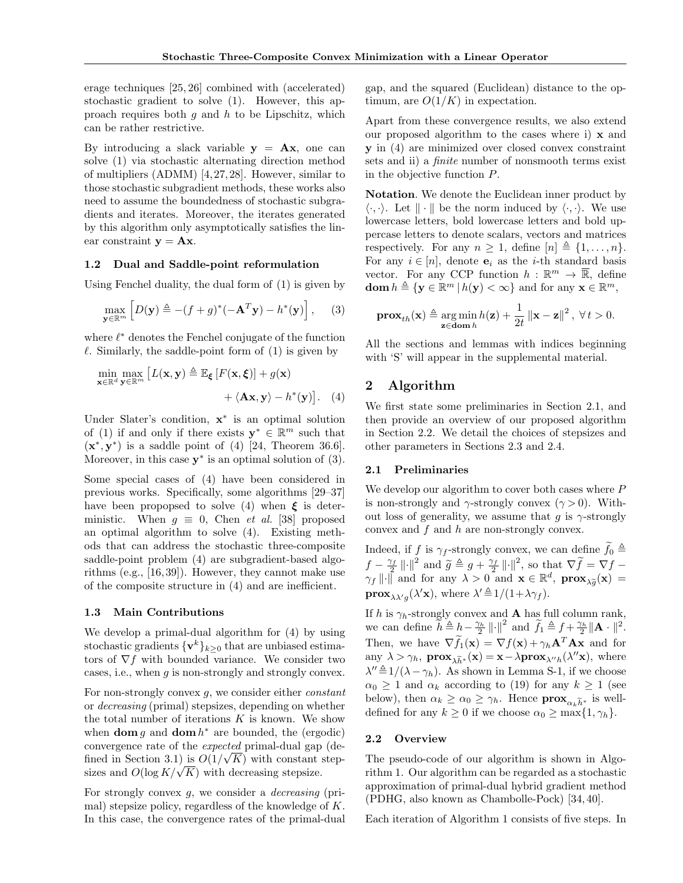erage techniques [\[25,](#page-8-18) [26\]](#page-8-19) combined with (accelerated) stochastic gradient to solve [\(1\)](#page-0-0). However, this approach requires both q and  $h$  to be Lipschitz, which can be rather restrictive.

By introducing a slack variable  $y = Ax$ , one can solve [\(1\)](#page-0-0) via stochastic alternating direction method of multipliers (ADMM) [\[4,](#page-8-3)[27,](#page-8-20)[28\]](#page-9-0). However, similar to those stochastic subgradient methods, these works also need to assume the boundedness of stochastic subgradients and iterates. Moreover, the iterates generated by this algorithm only asymptotically satisfies the linear constraint  $y = Ax$ .

### 1.2 Dual and Saddle-point reformulation

Using Fenchel duality, the dual form of [\(1\)](#page-0-0) is given by

<span id="page-1-1"></span>
$$
\max_{\mathbf{y} \in \mathbb{R}^m} \left[ D(\mathbf{y}) \triangleq -(f+g)^*(-\mathbf{A}^T \mathbf{y}) - h^*(\mathbf{y}) \right], \quad (3)
$$

where  $\ell^*$  denotes the Fenchel conjugate of the function  $\ell$ . Similarly, the saddle-point form of [\(1\)](#page-0-0) is given by

$$
\min_{\mathbf{x} \in \mathbb{R}^d} \max_{\mathbf{y} \in \mathbb{R}^m} \left[ L(\mathbf{x}, \mathbf{y}) \triangleq \mathbb{E}_{\xi} \left[ F(\mathbf{x}, \xi) \right] + g(\mathbf{x}) + \langle \mathbf{A} \mathbf{x}, \mathbf{y} \rangle - h^*(\mathbf{y}) \right]. \tag{4}
$$

Under Slater's condition,  $\mathbf{x}^*$  is an optimal solution of [\(1\)](#page-0-0) if and only if there exists  $y^* \in \mathbb{R}^m$  such that  $(\mathbf{x}^*, \mathbf{y}^*)$  is a saddle point of [\(4\)](#page-1-0) [\[24,](#page-8-16) Theorem 36.6]. Moreover, in this case  $y^*$  is an optimal solution of  $(3)$ .

Some special cases of [\(4\)](#page-1-0) have been considered in previous works. Specifically, some algorithms [\[29–](#page-9-1)[37\]](#page-9-2) have been propopsed to solve [\(4\)](#page-1-0) when  $\xi$  is deterministic. When  $q \equiv 0$ , Chen *et al.* [\[38\]](#page-9-3) proposed an optimal algorithm to solve [\(4\)](#page-1-0). Existing methods that can address the stochastic three-composite saddle-point problem [\(4\)](#page-1-0) are subgradient-based algorithms (e.g., [\[16,](#page-8-13)[39\]](#page-9-4)). However, they cannot make use of the composite structure in [\(4\)](#page-1-0) and are inefficient.

#### 1.3 Main Contributions

We develop a primal-dual algorithm for [\(4\)](#page-1-0) by using stochastic gradients  $\{v^k\}_{k\geq 0}$  that are unbiased estimators of  $\nabla f$  with bounded variance. We consider two cases, i.e., when g is non-strongly and strongly convex.

For non-strongly convex  $g$ , we consider either *constant* or decreasing (primal) stepsizes, depending on whether the total number of iterations  $K$  is known. We show when  $\text{dom } g$  and  $\text{dom } h^*$  are bounded, the (ergodic) convergence rate of the *expected* primal-dual gap (de-fined in Section [3.1\)](#page-3-0) is  $O(1/\sqrt{K})$  with constant stepfined in Section 3.1) is  $O(1/\sqrt{K})$  with constant sizes and  $O(\log K/\sqrt{K})$  with decreasing stepsize.

For strongly convex g, we consider a decreasing (primal) stepsize policy, regardless of the knowledge of K. In this case, the convergence rates of the primal-dual

gap, and the squared (Euclidean) distance to the optimum, are  $O(1/K)$  in expectation.

Apart from these convergence results, we also extend our proposed algorithm to the cases where i) x and y in [\(4\)](#page-1-0) are minimized over closed convex constraint sets and ii) a finite number of nonsmooth terms exist in the objective function P.

Notation. We denote the Euclidean inner product by  $\langle \cdot, \cdot \rangle$ . Let  $\|\cdot\|$  be the norm induced by  $\langle \cdot, \cdot \rangle$ . We use lowercase letters, bold lowercase letters and bold uppercase letters to denote scalars, vectors and matrices respectively. For any  $n \geq 1$ , define  $[n] \triangleq \{1, \ldots, n\}.$ For any  $i \in [n]$ , denote  $e_i$  as the *i*-th standard basis vector. For any CCP function  $h : \mathbb{R}^m \to \overline{\mathbb{R}}$ , define  $\text{dom } h \triangleq \{ \mathbf{y} \in \mathbb{R}^m \, | \, h(\mathbf{y}) < \infty \}$  and for any  $\mathbf{x} \in \mathbb{R}^m$ ,

$$
\mathbf{prox}_{th}(\mathbf{x}) \triangleq \underset{\mathbf{z} \in \text{dom } h}{\arg \min} h(\mathbf{z}) + \frac{1}{2t} ||\mathbf{x} - \mathbf{z}||^2, \ \forall \, t > 0.
$$

All the sections and lemmas with indices beginning with 'S' will appear in the supplemental material.

# <span id="page-1-4"></span><span id="page-1-0"></span>2 Algorithm

We first state some preliminaries in Section [2.1,](#page-1-2) and then provide an overview of our proposed algorithm in Section [2.2.](#page-1-3) We detail the choices of stepsizes and other parameters in Sections [2.3](#page-2-0) and [2.4.](#page-2-1)

#### <span id="page-1-2"></span>2.1 Preliminaries

We develop our algorithm to cover both cases where P is non-strongly and  $\gamma$ -strongly convex  $(\gamma > 0)$ . Without loss of generality, we assume that q is  $\gamma$ -strongly convex and f and h are non-strongly convex.

Indeed, if f is  $\gamma_f$ -strongly convex, we can define  $\widetilde{f}_0 \triangleq$  $f - \frac{\gamma_f}{2} || \cdot ||^2$  and  $\widetilde{g} \triangleq g + \frac{\gamma_f}{2} || \cdot ||^2$ , so that  $\nabla \widetilde{f} = \nabla f \gamma_f \|\cdot\|$  and for any  $\lambda > 0$  and  $\mathbf{x} \in \mathbb{R}^d$ ,  $\mathbf{prox}_{\lambda \widetilde{g}}(\mathbf{x}) =$ **prox** $\lambda \chi_g(\lambda' \mathbf{x})$ , where  $\lambda' \triangleq 1/(1 + \lambda \gamma_f)$ .

If h is  $\gamma_h$ -strongly convex and **A** has full column rank, we can define  $\widetilde{h} \triangleq h - \frac{\gamma_h}{2} ||\cdot||^2$  and  $\widetilde{f}_1 \triangleq f + \frac{\gamma_h}{2} ||\mathbf{A} \cdot ||^2$ . Then, we have  $\nabla \widetilde{f}_1(\mathbf{x}) = \nabla f(\mathbf{x}) + \gamma_h \mathbf{A}^T \mathbf{A} \mathbf{x}$  and for any  $\lambda > \gamma_h$ ,  $\mathbf{prox}_{\lambda \widetilde{h}^*}(\mathbf{x}) = \mathbf{x} - \lambda \mathbf{prox}_{\lambda' h}(\lambda'' \mathbf{x})$ , where  $\lambda'' \triangleq 1/(\lambda - \gamma_h)$ . As shown in Lemma [S-1,](#page-0-1) if we choose  $\alpha_0 \geq 1$  and  $\alpha_k$  according to [\(19\)](#page-2-2) for any  $k \geq 1$  (see below), then  $\alpha_k \geq \alpha_0 \geq \gamma_h$ . Hence  $\mathbf{prox}_{\alpha_k \tilde{h}^*}$  is welldefined for any  $k \geq 0$  if we choose  $\alpha_0 \geq \max\{1, \gamma_h\}.$ 

#### <span id="page-1-3"></span>2.2 Overview

The pseudo-code of our algorithm is shown in Algorithm [1.](#page-2-3) Our algorithm can be regarded as a stochastic approximation of primal-dual hybrid gradient method (PDHG, also known as Chambolle-Pock) [\[34,](#page-9-5) [40\]](#page-9-6).

Each iteration of Algorithm [1](#page-2-3) consists of five steps. In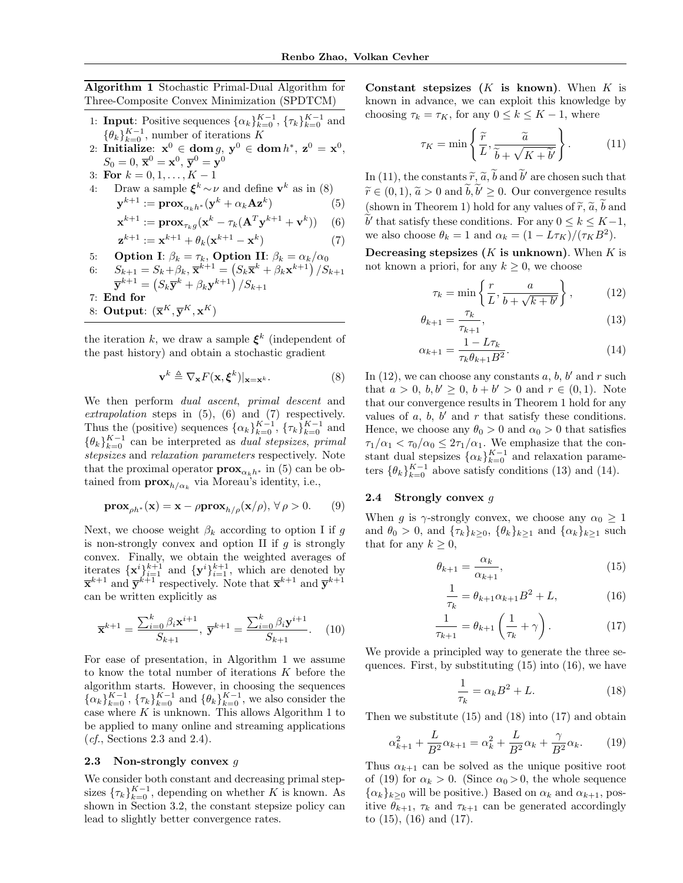<span id="page-2-3"></span>Algorithm 1 Stochastic Primal-Dual Algorithm for Three-Composite Convex Minimization (SPDTCM)

- 1: **Input**: Positive sequences  $\{\alpha_k\}_{k=0}^{K-1}$ ,  $\{\tau_k\}_{k=0}^{K-1}$  and  $\{\theta_k\}_{k=0}^{K-1}$ , number of iterations K
- 2: Initialize:  $\mathbf{x}^0 \in \mathbf{dom}\, g, \, \mathbf{y}^0 \in \mathbf{dom}\, h^*, \, \mathbf{z}^0 = \mathbf{x}^0,$  $S_0=0, \,\overline{\mathbf{x}}^0=\mathbf{x}^0, \,\overline{\mathbf{y}}^0=\mathbf{y}^0$
- 3: For  $k = 0, 1, ..., K 1$

4: Draw a sample 
$$
\xi^k \sim \nu
$$
 and define  $\mathbf{v}^k$  as in (8)

$$
\mathbf{y}^{k+1} := \mathbf{prox}_{\alpha_k h^*}(\mathbf{y}^k + \alpha_k \mathbf{A} \mathbf{z}^k)
$$
 (5)

$$
\mathbf{x}^{k+1} := \mathbf{prox}_{\tau_k g}(\mathbf{x}^k - \tau_k (\mathbf{A}^T \mathbf{y}^{k+1} + \mathbf{v}^k)) \quad (6)
$$

$$
\mathbf{z}^{k+1} := \mathbf{x}^{k+1} + \theta_k(\mathbf{x}^{k+1} - \mathbf{x}^k)
$$
 (7)

- 5: **Option I:**  $\beta_k = \tau_k$ , **Option II:**  $\beta_k = \alpha_k/\alpha_0$
- 6:  $S_{k+1} = S_k + \beta_k, \overline{\mathbf{x}}^{k+1} = (S_k \overline{\mathbf{x}}^k + \beta_k \mathbf{x}^{k+1}) / S_{k+1}$  $\overline{\mathbf{y}}^{k+1} = \left( S_k \overline{\mathbf{y}}^k + \beta_k \mathbf{y}^{k+1} \right) / S_{k+1}$
- 7: End for
- 8: Output:  $(\overline{\mathbf{x}}^K, \overline{\mathbf{y}}^K, \mathbf{x}^K)$

the iteration k, we draw a sample  $\xi^k$  (independent of the past history) and obtain a stochastic gradient

$$
\mathbf{v}^k \triangleq \nabla_{\mathbf{x}} F(\mathbf{x}, \boldsymbol{\xi}^k)|_{\mathbf{x} = \mathbf{x}^k}.
$$
 (8)

We then perform *dual ascent*, *primal descent* and extrapolation steps in  $(5)$ ,  $(6)$  and  $(7)$  respectively. Thus the (positive) sequences  $\{\alpha_k\}_{k=0}^{K-1}$ ,  $\{\tau_k\}_{k=0}^{K-1}$  and  $\{\theta_k\}_{k=0}^{K-1}$  can be interpreted as *dual stepsizes*, *primal* stepsizes and relaxation parameters respectively. Note that the proximal operator  $\mathbf{prox}_{\alpha_kh^*}$  in [\(5\)](#page-2-5) can be obtained from  $\mathbf{prox}_{h/\alpha_k}$  via Moreau's identity, i.e.,

$$
\mathbf{prox}_{\rho h^*}(\mathbf{x}) = \mathbf{x} - \rho \mathbf{prox}_{h/\rho}(\mathbf{x}/\rho), \forall \rho > 0.
$$
 (9)

Next, we choose weight  $\beta_k$  according to option I if g is non-strongly convex and option II if  $q$  is strongly convex. Finally, we obtain the weighted averages of iterates  $\{x^i\}_{i=1}^{k+1}$  and  $\{y^i\}_{i=1}^{k+1}$ , which are denoted by  $\overline{\mathbf{x}}^{k+1}$  and  $\overline{\mathbf{y}}^{k+1}$  respectively. Note that  $\overline{\mathbf{x}}^{k+1}$  and  $\overline{\mathbf{y}}^{k+1}$ can be written explicitly as

$$
\overline{\mathbf{x}}^{k+1} = \frac{\sum_{i=0}^{k} \beta_i \mathbf{x}^{i+1}}{S_{k+1}}, \ \overline{\mathbf{y}}^{k+1} = \frac{\sum_{i=0}^{k} \beta_i \mathbf{y}^{i+1}}{S_{k+1}}.\tag{10}
$$

For ease of presentation, in Algorithm [1](#page-2-3) we assume to know the total number of iterations K before the algorithm starts. However, in choosing the sequences  ${\{\alpha_k\}}_{k=0}^{K-1}$ ,  ${\{\tau_k\}}_{k=0}^{K-1}$  and  ${\{\theta_k\}}_{k=0}^{K-1}$ , we also consider the case where  $K$  is unknown. This allows Algorithm [1](#page-2-3) to be applied to many online and streaming applications  $(cf., Sections 2.3 and 2.4).$  $(cf., Sections 2.3 and 2.4).$  $(cf., Sections 2.3 and 2.4).$  $(cf., Sections 2.3 and 2.4).$  $(cf., Sections 2.3 and 2.4).$ 

#### <span id="page-2-0"></span>2.3 Non-strongly convex  $q$

We consider both constant and decreasing primal stepsizes  ${\{\tau_k\}}_{k=0}^{K-1}$ , depending on whether K is known. As shown in Section [3.2,](#page-3-1) the constant stepsize policy can lead to slightly better convergence rates.

Constant stepsizes  $(K$  is known). When  $K$  is known in advance, we can exploit this knowledge by choosing  $\tau_k = \tau_K$ , for any  $0 \leq k \leq K-1$ , where

<span id="page-2-8"></span>
$$
\tau_K = \min\left\{\frac{\widetilde{r}}{L}, \frac{\widetilde{a}}{\widetilde{b} + \sqrt{K + \widetilde{b}'}}\right\}.
$$
 (11)

<span id="page-2-6"></span><span id="page-2-5"></span>In [\(11\)](#page-2-8), the constants  $\tilde{r}, \tilde{a}, \tilde{b}$  and  $\tilde{b}'$  are chosen such that  $\tilde{c} \in (0, 1, \tilde{c} > 0, \text{cm}^2)$  $\widetilde{r} \in (0,1), \widetilde{a} > 0 \text{ and } \widetilde{b}, \widetilde{b}' \geq 0.$  Our convergence results (shown in Theorem [1\)](#page-3-2) hold for any values of  $\tilde{r}$ ,  $\tilde{a}$ ,  $\tilde{b}$  and  $\tilde{b}'$  that satisfy these conditions. For any  $0 \leq k \leq K-1$ , we also choose  $\theta_k = 1$  and  $\alpha_k = (1 - L\tau_K)/(\tau_K B^2)$ .

<span id="page-2-7"></span>Decreasing stepsizes  $(K$  is unknown). When  $K$  is not known a priori, for any  $k \geq 0$ , we choose

<span id="page-2-10"></span><span id="page-2-9"></span>
$$
\tau_k = \min\left\{\frac{r}{L}, \frac{a}{b + \sqrt{k + b'}}\right\},\tag{12}
$$

<span id="page-2-11"></span>
$$
\theta_{k+1} = \frac{\tau_k}{\tau_{k+1}},\tag{13}
$$

$$
\alpha_{k+1} = \frac{1 - L\tau_k}{\tau_k \theta_{k+1} B^2}.\tag{14}
$$

<span id="page-2-4"></span>In [\(12\)](#page-2-9), we can choose any constants  $a, b, b'$  and  $r$  such that  $a > 0, b, b' \ge 0, b + b' > 0$  and  $r \in (0, 1)$ . Note that our convergence results in Theorem [1](#page-3-2) hold for any values of  $a, b, b'$  and  $r$  that satisfy these conditions. Hence, we choose any  $\theta_0 > 0$  and  $\alpha_0 > 0$  that satisfies  $\tau_1/\alpha_1 < \tau_0/\alpha_0 \leq 2\tau_1/\alpha_1$ . We emphasize that the constant dual stepsizes  $\{\alpha_k\}_{k=0}^{K-1}$  and relaxation parameters  $\{\theta_k\}_{k=0}^{K-1}$  above satisfy conditions [\(13\)](#page-2-10) and [\(14\)](#page-2-11).

#### <span id="page-2-1"></span>2.4 Strongly convex  $g$

When g is  $\gamma$ -strongly convex, we choose any  $\alpha_0 \geq 1$ and  $\theta_0 > 0$ , and  $\{\tau_k\}_{k>0}$ ,  $\{\theta_k\}_{k>1}$  and  $\{\alpha_k\}_{k>1}$  such that for any  $k > 0$ ,

$$
\theta_{k+1} = \frac{\alpha_k}{\alpha_{k+1}},\tag{15}
$$

<span id="page-2-15"></span><span id="page-2-13"></span><span id="page-2-12"></span>
$$
\frac{1}{\tau_k} = \theta_{k+1}\alpha_{k+1}B^2 + L,\tag{16}
$$

$$
\frac{1}{\tau_{k+1}} = \theta_{k+1} \left( \frac{1}{\tau_k} + \gamma \right). \tag{17}
$$

We provide a principled way to generate the three sequences. First, by substituting  $(15)$  into  $(16)$ , we have

<span id="page-2-14"></span>
$$
\frac{1}{\tau_k} = \alpha_k B^2 + L. \tag{18}
$$

Then we substitute  $(15)$  and  $(18)$  into  $(17)$  and obtain

<span id="page-2-2"></span>
$$
\alpha_{k+1}^2 + \frac{L}{B^2} \alpha_{k+1} = \alpha_k^2 + \frac{L}{B^2} \alpha_k + \frac{\gamma}{B^2} \alpha_k. \tag{19}
$$

Thus  $\alpha_{k+1}$  can be solved as the unique positive root of [\(19\)](#page-2-2) for  $\alpha_k > 0$ . (Since  $\alpha_0 > 0$ , the whole sequence  $\{\alpha_k\}_{k\geq 0}$  will be positive.) Based on  $\alpha_k$  and  $\alpha_{k+1}$ , positive  $\theta_{k+1}$ ,  $\tau_k$  and  $\tau_{k+1}$  can be generated accordingly to [\(15\)](#page-2-12), [\(16\)](#page-2-13) and [\(17\)](#page-2-15).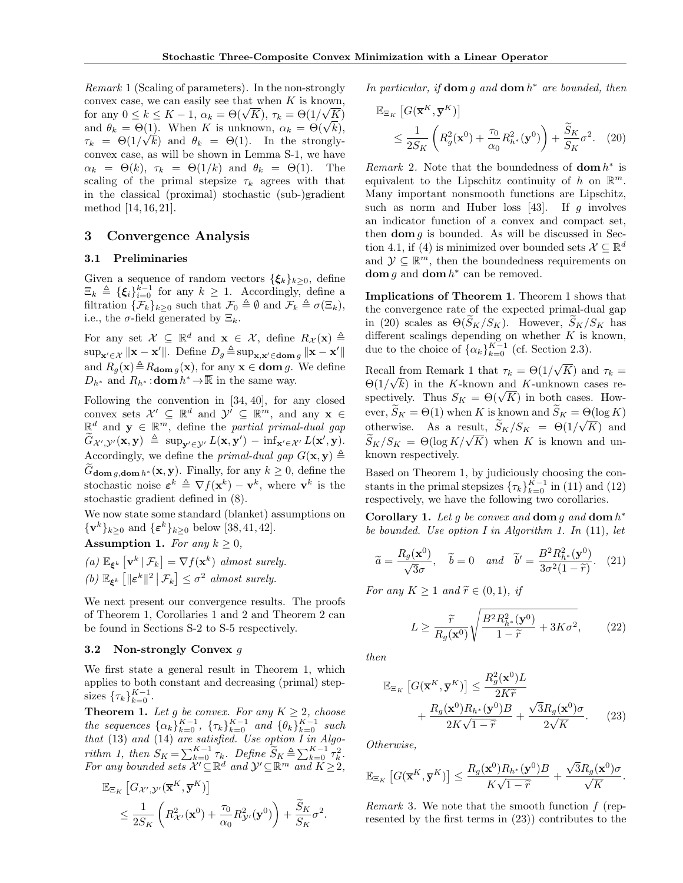<span id="page-3-5"></span>Remark 1 (Scaling of parameters). In the non-strongly convex case, we can easily see that when K is known, for any  $0 \le k \le K - 1$ ,  $\alpha_k = \Theta(\sqrt{K})$ ,  $\tau_k = \Theta(1/\sqrt{K})$ for any  $0 \le k \le K - 1$ ,  $\alpha_k = \Theta(\sqrt{K})$ ,  $\tau_k = \Theta(1/\sqrt{K})$ ,<br>and  $\theta_k = \Theta(1)$ . When K is unknown,  $\alpha_k = \Theta(\sqrt{k})$ ,  $\tau_k = \Theta(1/\sqrt{k})$  and  $\theta_k = \Theta(1)$ . In the stronglyconvex case, as will be shown in Lemma [S-1,](#page-0-1) we have  $\alpha_k = \Theta(k), \tau_k = \Theta(1/k)$  and  $\theta_k = \Theta(1)$ . The scaling of the primal stepsize  $\tau_k$  agrees with that in the classical (proximal) stochastic (sub-)gradient method [\[14,](#page-8-21) [16,](#page-8-13) [21\]](#page-8-22).

# <span id="page-3-8"></span>3 Convergence Analysis

### <span id="page-3-0"></span>3.1 Preliminaries

Given a sequence of random vectors  $\{\xi_k\}_{k>0}$ , define  $\Xi_k \triangleq {\{\xi_i\}}_{i=0}^{k-1}$  for any  $k \geq 1$ . Accordingly, define a filtration  $\{\mathcal{F}_k\}_{k\geq 0}$  such that  $\mathcal{F}_0 \triangleq \emptyset$  and  $\mathcal{F}_k \triangleq \sigma(\Xi_k)$ , i.e., the  $\sigma$ -field generated by  $\Xi_k$ .

For any set  $\mathcal{X} \subseteq \mathbb{R}^d$  and  $\mathbf{x} \in \mathcal{X}$ , define  $R_{\mathcal{X}}(\mathbf{x}) \triangleq$  $\sup_{\mathbf{x}' \in \mathcal{X}} \|\mathbf{x} - \mathbf{x}'\|$ . Define  $D_g \triangleq \sup_{\mathbf{x}, \mathbf{x}' \in \mathbf{dom}\,g} \|\mathbf{x} - \mathbf{x}'\|$ and  $R_q(\mathbf{x}) \triangleq R_{\text{dom }q}(\mathbf{x})$ , for any  $\mathbf{x} \in \text{dom } g$ . We define  $D_{h^*}$  and  $R_{h^*}:$ **dom**  $h^* \to \overline{\mathbb{R}}$  in the same way.

Following the convention in [\[34,](#page-9-5) [40\]](#page-9-6), for any closed convex sets  $\mathcal{X}' \subseteq \mathbb{R}^d$  and  $\mathcal{Y}' \subseteq \mathbb{R}^m$ , and any  $\mathbf{x} \in$  $\mathbb{R}^d$  and  $\mathbf{y} \in \mathbb{R}^m$ , define the partial primal-dual gap  $\widetilde{G}_{\mathcal{X}',\mathcal{Y}'}(\mathbf{x}, \mathbf{y}) \triangleq \sup_{\mathbf{y}' \in \mathcal{Y}'} L(\mathbf{x}, \mathbf{y}') - \inf_{\mathbf{x}' \in \mathcal{X}'} L(\mathbf{x}', \mathbf{y}).$ Accordingly, we define the *primal-dual gap*  $G(\mathbf{x}, \mathbf{y}) \triangleq$  $\widetilde{G}_{\text{dom }a,\text{dom }h^*}(\mathbf{x}, \mathbf{y})$ . Finally, for any  $k \geq 0$ , define the stochastic noise  $\varepsilon^k \triangleq \nabla f(\mathbf{x}^k) - \mathbf{v}^k$ , where  $\mathbf{v}^k$  is the stochastic gradient defined in [\(8\)](#page-2-4).

We now state some standard (blanket) assumptions on  $\{v^k\}_{k\geq 0}$  and  $\{\varepsilon^k\}_{k\geq 0}$  below [\[38,](#page-9-3) [41,](#page-9-7) [42\]](#page-9-8).

Assumption 1. For any  $k \geq 0$ ,

(a)  $\mathbb{E}_{\xi^k} \left[ \mathbf{v}^k \, | \, \mathcal{F}_k \right] = \nabla f(\mathbf{x}^k)$  almost surely. (b)  $\mathbb{E}_{\xi^k} \left[ \|\boldsymbol{\varepsilon}^k\|^2 \, \big| \, \mathcal{F}_k \right] \leq \sigma^2$  almost surely.

We next present our convergence results. The proofs of Theorem [1,](#page-3-2) Corollaries [1](#page-3-3) and [2](#page-4-0) and Theorem [2](#page-4-1) can be found in Sections [S-2](#page-1-4) to [S-5](#page-5-0) respectively.

### <span id="page-3-1"></span>3.2 Non-strongly Convex  $g$

We first state a general result in Theorem [1,](#page-3-2) which applies to both constant and decreasing (primal) stepsizes  $\{\tau_k\}_{k=0}^{K-1}$ .

<span id="page-3-2"></span>**Theorem 1.** Let g be convex. For any  $K \geq 2$ , choose the sequences  $\{\alpha_k\}_{k=0}^{K-1}$ ,  $\{\tau_k\}_{k=0}^{K-1}$  and  $\{\theta_k\}_{k=0}^{K-1}$  such that  $(13)$  and  $(14)$  are satisfied. Use option I in Algo-rithm [1,](#page-2-3) then  $S_K = \sum_{k=0}^{K-1} \tau_k$ . Define  $\widetilde{S}_K \triangleq \sum_{k=0}^{K-1} \tau_k^2$ . For any bounded sets  $\overline{\mathcal{X}'} \subseteq \mathbb{R}^d$  and  $\mathcal{Y}' \subseteq \mathbb{R}^m$  and  $\overline{K} \geq 2$ ,

$$
\mathbb{E}_{\Xi_K} \left[ G_{\mathcal{X}',\mathcal{Y}'}(\overline{\mathbf{x}}^K, \overline{\mathbf{y}}^K) \right] \n\leq \frac{1}{2S_K} \left( R_{\mathcal{X}'}^2(\mathbf{x}^0) + \frac{\tau_0}{\alpha_0} R_{\mathcal{Y}'}^2(\mathbf{y}^0) \right) + \frac{\widetilde{S}_K}{S_K} \sigma^2.
$$

In particular, if  $\text{dom } g$  and  $\text{dom } h^*$  are bounded, then

<span id="page-3-4"></span>
$$
\mathbb{E}_{\Xi_K} \left[ G(\overline{\mathbf{x}}^K, \overline{\mathbf{y}}^K) \right] \n\leq \frac{1}{2S_K} \left( R_g^2(\mathbf{x}^0) + \frac{\tau_0}{\alpha_0} R_{h^*}^2(\mathbf{y}^0) \right) + \frac{\widetilde{S}_K}{S_K} \sigma^2.
$$
 (20)

Remark 2. Note that the boundedness of  $dom h^*$  is equivalent to the Lipschitz continuity of h on  $\mathbb{R}^m$ . Many important nonsmooth functions are Lipschitz, such as norm and Huber loss [\[43\]](#page-9-9). If  $q$  involves an indicator function of a convex and compact set, then  $\text{dom } q$  is bounded. As will be discussed in Sec-tion [4.1,](#page-4-2) if [\(4\)](#page-1-0) is minimized over bounded sets  $\mathcal{X} \subseteq \mathbb{R}^d$ and  $\mathcal{Y} \subseteq \mathbb{R}^m$ , then the boundedness requirements on **dom** g and **dom**  $h^*$  can be removed.

Implications of Theorem [1](#page-3-2). Theorem [1](#page-3-2) shows that the convergence rate of the expected primal-dual gap in [\(20\)](#page-3-4) scales as  $\Theta(\widetilde{S}_K/S_K)$ . However,  $\widetilde{S}_K/S_K$  has different scalings depending on whether  $K$  is known, due to the choice of  $\{\alpha_k\}_{k=0}^{K-1}$  (cf. Section [2.3\)](#page-2-0).

Recall from Remark [1](#page-3-5) that  $\tau_k = \Theta(1)$ √ If from Remark 1 that  $\tau_k = \Theta(1/\sqrt{K})$  and  $\tau_k =$  $\Theta(1/\sqrt{k})$  in the K-known and K-unknown cases re- $\Theta(1/\sqrt{\kappa})$  in the *K*-known and *K*-unknown cases respectively. Thus  $S_K = \Theta(\sqrt{K})$  in both cases. However,  $S_K = \Theta(1)$  when K is known and  $S_K = \Theta(\log K)$ otherwise. As a result,  $S_K/S_K = \Theta(1/\sqrt{K})$  and Supervise. As a result,  $S_K/S_K = \Theta(1/\sqrt{K})$  and  $\widetilde{S}_K/S_K = \Theta(\log K/\sqrt{K})$  when K is known and unknown respectively.

Based on Theorem [1,](#page-3-2) by judiciously choosing the constants in the primal stepsizes  $\{\tau_k\}_{k=0}^{K-1}$  in [\(11\)](#page-2-8) and [\(12\)](#page-2-9) respectively, we have the following two corollaries.

<span id="page-3-3"></span>Corollary 1. Let g be convex and  $\text{dom } g$  and  $\text{dom } h^*$ be bounded. Use option I in Algorithm [1.](#page-2-3) In [\(11\)](#page-2-8), let

$$
\widetilde{a} = \frac{R_g(\mathbf{x}^0)}{\sqrt{3}\sigma}, \quad \widetilde{b} = 0 \quad and \quad \widetilde{b}' = \frac{B^2 R_{h^*}^2(\mathbf{y}^0)}{3\sigma^2 (1 - \widetilde{r})}. \quad (21)
$$

For any  $K \geq 1$  and  $\widetilde{r} \in (0,1)$ , if

<span id="page-3-7"></span><span id="page-3-6"></span>
$$
L \ge \frac{\widetilde{r}}{R_g(\mathbf{x}^0)} \sqrt{\frac{B^2 R_{h^*}^2(\mathbf{y}^0)}{1 - \widetilde{r}} + 3K\sigma^2},\qquad(22)
$$

then

$$
\mathbb{E}_{\Xi_K} \left[ G(\overline{\mathbf{x}}^K, \overline{\mathbf{y}}^K) \right] \le \frac{R_g^2(\mathbf{x}^0)L}{2K\widetilde{r}} + \frac{R_g(\mathbf{x}^0)R_{h^*}(\mathbf{y}^0)B}{2K\sqrt{1-\widetilde{r}}} + \frac{\sqrt{3}R_g(\mathbf{x}^0)\sigma}{2\sqrt{K}}.
$$
 (23)

Otherwise,

$$
\mathbb{E}_{\Xi_K}\left[G(\overline{\mathbf{x}}^K,\overline{\mathbf{y}}^K)\right] \leq \frac{R_g(\mathbf{x}^0)R_{h^*}(\mathbf{y}^0)B}{K\sqrt{1-\widetilde{r}}} + \frac{\sqrt{3}R_g(\mathbf{x}^0)\sigma}{\sqrt{K}}.
$$

Remark 3. We note that the smooth function f (represented by the first terms in [\(23\)](#page-3-6)) contributes to the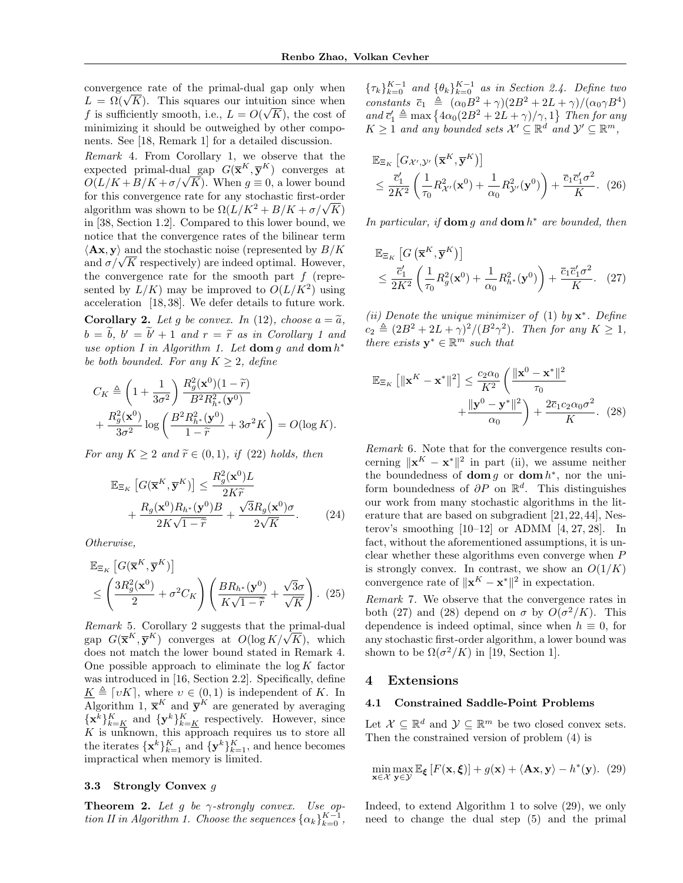convergence rate of the primal-dual gap only when convergence rate of the primal-dual gap only when<br> $L = \Omega(\sqrt{K})$ . This squares our intuition since when f is sufficiently smooth, i.e.,  $L = O(\sqrt{K})$ , the cost of minimizing it should be outweighed by other components. See [\[18,](#page-8-23) Remark 1] for a detailed discussion.

<span id="page-4-3"></span>Remark 4. From Corollary [1,](#page-3-3) we observe that the expected primal-dual gap  $G(\overline{\mathbf{x}}^K, \overline{\mathbf{y}}^K)$  converges at expected primal-qual gap  $G(\mathbf{x}^{\dots}, \mathbf{y}^{\dots})$  converges at  $O(L/K + B/K + \sigma/\sqrt{K})$ . When  $g \equiv 0$ , a lower bound for this convergence rate for any stochastic first-order for this convergence rate for any stochastic first-order<br>algorithm was shown to be  $\Omega(L/K^2 + B/K + \sigma/\sqrt{K})$ in [\[38,](#page-9-3) Section 1.2]. Compared to this lower bound, we notice that the convergence rates of the bilinear term  $\langle \mathbf{A} \mathbf{x}, \mathbf{y} \rangle$  and the stochastic noise (represented by  $B/K$  $\langle$ **Ax**, y) and the stochastic noise (represented by  $B/K$  and  $\sigma/\sqrt{K}$  respectively) are indeed optimal. However, the convergence rate for the smooth part  $f$  (represented by  $L/K$ ) may be improved to  $O(L/K^2)$  using acceleration [\[18,](#page-8-23) [38\]](#page-9-3). We defer details to future work.

<span id="page-4-0"></span>**Corollary 2.** Let q be convex. In [\(12\)](#page-2-9), choose  $a = \tilde{a}$ ,  $b = \tilde{b}, b' = \tilde{b}' + 1$  $b = \tilde{b}, b' = \tilde{b}' + 1$  and  $r = \tilde{r}$  as in Corollary 1 and<br>we entire Lin Algorithm 1. Let dome a and dom  $h^*$ use option I in Algorithm [1.](#page-2-3) Let  $\text{dom } g$  and  $\text{dom } h^*$ be both bounded. For any  $K \geq 2$ , define

$$
C_K \triangleq \left(1 + \frac{1}{3\sigma^2}\right) \frac{R_g^2(\mathbf{x}^0)(1-\tilde{r})}{B^2 R_{h^*}^2(\mathbf{y}^0)}
$$
  
+ 
$$
\frac{R_g^2(\mathbf{x}^0)}{3\sigma^2} \log \left(\frac{B^2 R_{h^*}^2(\mathbf{y}^0)}{1-\tilde{r}} + 3\sigma^2 K\right) = O(\log K).
$$

For any  $K \geq 2$  and  $\widetilde{r} \in (0,1)$ , if [\(22\)](#page-3-7) holds, then

$$
\mathbb{E}_{\Xi_K} \left[ G(\overline{\mathbf{x}}^K, \overline{\mathbf{y}}^K) \right] \le \frac{R_g^2(\mathbf{x}^0) L}{2K\widetilde{r}} + \frac{R_g(\mathbf{x}^0) R_{h^*}(\mathbf{y}^0) B}{2K\sqrt{1-\widetilde{r}}} + \frac{\sqrt{3}R_g(\mathbf{x}^0)\sigma}{2\sqrt{K}}.
$$
 (24)

Otherwise,

$$
\mathbb{E}_{\Xi_K} \left[ G(\overline{\mathbf{x}}^K, \overline{\mathbf{y}}^K) \right] \n\leq \left( \frac{3R_g^2(\mathbf{x}^0)}{2} + \sigma^2 C_K \right) \left( \frac{B R_{h^*}(\mathbf{y}^0)}{K \sqrt{1 - \widetilde{r}}} + \frac{\sqrt{3} \sigma}{\sqrt{K}} \right). (25)
$$

Remark 5. Corollary [2](#page-4-0) suggests that the primal-dual *Remark* 5. Corollary 2 suggests that the primal-dual gap  $G(\overline{\mathbf{x}}^K, \overline{\mathbf{y}}^K)$  converges at  $O(\log K/\sqrt{K})$ , which does not match the lower bound stated in Remark [4.](#page-4-3) One possible approach to eliminate the  $\log K$  factor was introduced in [\[16,](#page-8-13) Section 2.2]. Specifically, define  $\underline{K} \triangleq \lceil vK \rceil$ , where  $v \in (0, 1)$  is independent of K. In Algorithm [1,](#page-2-3)  $\bar{\mathbf{x}}^K$  and  $\bar{\mathbf{y}}^K$  are generated by averaging  ${\mathbf x}^k\}_{k=K}^K$  and  ${\mathbf y}^k\}_{k=K}^K$  respectively. However, since  $K$  is unknown, this approach requires us to store all the iterates  $\{\mathbf{x}^k\}_{k=1}^K$  and  $\{\mathbf{y}^k\}_{k=1}^K$ , and hence becomes impractical when memory is limited.

### 3.3 Strongly Convex g

<span id="page-4-1"></span>**Theorem 2.** Let g be  $\gamma$ -strongly convex. Use op-tion II in Algorithm [1.](#page-2-3) Choose the sequences  $\{\alpha_k\}_{k=0}^{K-1}$ ,  ${\{\tau_k\}}_{k=0}^{K-1}$  and  ${\{\theta_k\}}_{k=0}^{K-1}$  as in Section [2.4.](#page-2-1) Define two constants  $\bar{c}_1 \triangleq (\alpha_0 B^2 + \gamma)(2B^2 + 2L + \gamma)/(\alpha_0 \gamma B^4)$ and  $\overline{c}'_1 \triangleq \max\left\{4\alpha_0(2B^2+2L+\gamma)/\gamma,1\right\}$  Then for any  $K \geq 1$  and any bounded sets  $\mathcal{X}' \subseteq \mathbb{R}^d$  and  $\mathcal{Y}' \subseteq \mathbb{R}^m$ ,

$$
\mathbb{E}_{\Xi_K} \left[ G_{\mathcal{X}', \mathcal{Y}'} \left( \overline{\mathbf{x}}^K, \overline{\mathbf{y}}^K \right) \right] \n\leq \frac{\overline{c}'_1}{2K^2} \left( \frac{1}{\tau_0} R_{\mathcal{X}'}^2(\mathbf{x}^0) + \frac{1}{\alpha_0} R_{\mathcal{Y}'}^2(\mathbf{y}^0) \right) + \frac{\overline{c}_1 \overline{c}'_1 \sigma^2}{K}.
$$
\n(26)

In particular, if  $\text{dom } g$  and  $\text{dom } h^*$  are bounded, then

<span id="page-4-4"></span>
$$
\mathbb{E}_{\Xi_K} \left[ G\left(\overline{\mathbf{x}}^K, \overline{\mathbf{y}}^K\right) \right] \n\leq \frac{\overline{c}'_1}{2K^2} \left( \frac{1}{\tau_0} R_g^2(\mathbf{x}^0) + \frac{1}{\alpha_0} R_{h^*}^2(\mathbf{y}^0) \right) + \frac{\overline{c}_1 \overline{c}'_1 \sigma^2}{K}. \quad (27)
$$

(ii) Denote the unique minimizer of [\(1\)](#page-0-0) by  $\mathbf{x}^*$ . Define  $c_2 \triangleq (2B^2 + 2L + \gamma)^2/(B^2\gamma^2)$ . Then for any  $K \geq 1$ , there exists  $y^* \in \mathbb{R}^m$  such that

<span id="page-4-5"></span>
$$
\mathbb{E}_{\Xi_K} \left[ \|\mathbf{x}^K - \mathbf{x}^*\|^2 \right] \le \frac{c_2 \alpha_0}{K^2} \left( \frac{\|\mathbf{x}^0 - \mathbf{x}^*\|^2}{\tau_0} + \frac{\|\mathbf{y}^0 - \mathbf{y}^*\|^2}{\alpha_0} \right) + \frac{2\overline{c}_1 c_2 \alpha_0 \sigma^2}{K}.
$$
 (28)

Remark 6. Note that for the convergence results concerning  $\|\mathbf{x}^K - \mathbf{x}^*\|^2$  in part (ii), we assume neither the boundedness of **dom** g or **dom**  $h^*$ , nor the uniform boundedness of  $\partial P$  on  $\mathbb{R}^d$ . This distinguishes our work from many stochastic algorithms in the literature that are based on subgradient [\[21,](#page-8-22)[22,](#page-8-14)[44\]](#page-9-10), Nesterov's smoothing [\[10](#page-8-9)[–12\]](#page-8-10) or ADMM [\[4,](#page-8-3) [27,](#page-8-20) [28\]](#page-9-0). In fact, without the aforementioned assumptions, it is unclear whether these algorithms even converge when P is strongly convex. In contrast, we show an  $O(1/K)$ convergence rate of  $||\mathbf{x}^K - \mathbf{x}^*||^2$  in expectation.

Remark 7. We observe that the convergence rates in both [\(27\)](#page-4-4) and [\(28\)](#page-4-5) depend on  $\sigma$  by  $O(\sigma^2/K)$ . This dependence is indeed optimal, since when  $h \equiv 0$ , for any stochastic first-order algorithm, a lower bound was shown to be  $\Omega(\sigma^2/K)$  in [\[19,](#page-8-24) Section 1].

## 4 Extensions

#### <span id="page-4-2"></span>4.1 Constrained Saddle-Point Problems

Let  $\mathcal{X} \subseteq \mathbb{R}^d$  and  $\mathcal{Y} \subseteq \mathbb{R}^m$  be two closed convex sets. Then the constrained version of problem [\(4\)](#page-1-0) is

<span id="page-4-6"></span>
$$
\min_{\mathbf{x}\in\mathcal{X}}\max_{\mathbf{y}\in\mathcal{Y}}\mathbb{E}_{\xi}\left[F(\mathbf{x},\xi)\right] + g(\mathbf{x}) + \langle \mathbf{A}\mathbf{x}, \mathbf{y} \rangle - h^*(\mathbf{y}). \tag{29}
$$

Indeed, to extend Algorithm [1](#page-2-3) to solve [\(29\)](#page-4-6), we only need to change the dual step [\(5\)](#page-2-5) and the primal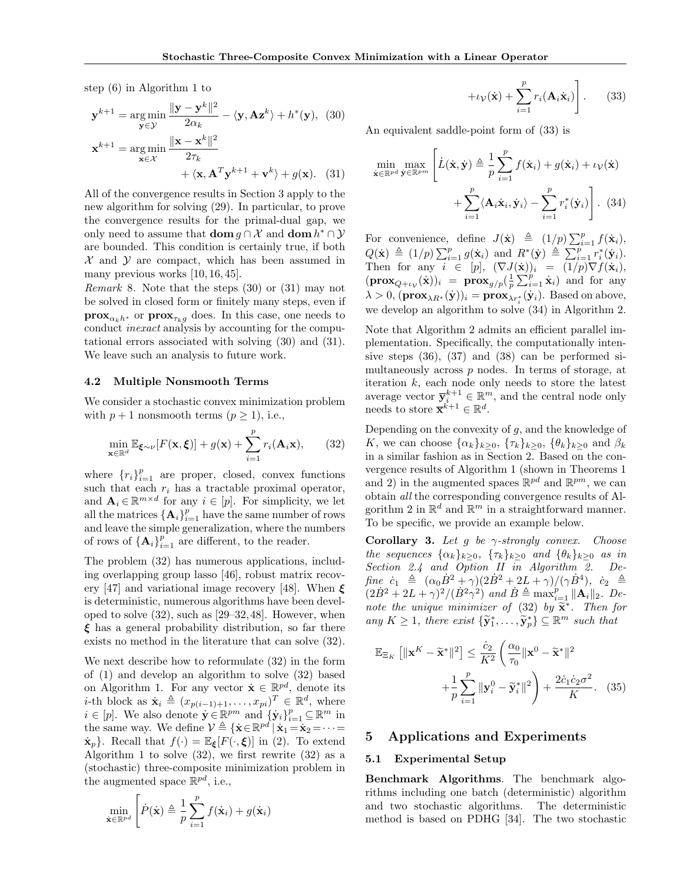step [\(6\)](#page-2-6) in Algorithm [1](#page-2-3) to

$$
\mathbf{y}^{k+1} = \underset{\mathbf{y} \in \mathcal{Y}}{\arg \min} \frac{\|\mathbf{y} - \mathbf{y}^k\|^2}{2\alpha_k} - \langle \mathbf{y}, \mathbf{A} \mathbf{z}^k \rangle + h^*(\mathbf{y}), \quad (30)
$$

$$
\mathbf{x}^{k+1} = \underset{\mathbf{x} \in \mathcal{X}}{\arg \min} \frac{\|\mathbf{x} - \mathbf{x}^k\|^2}{2\tau_k} + \langle \mathbf{x}, \mathbf{A}^T \mathbf{y}^{k+1} + \mathbf{v}^k \rangle + g(\mathbf{x}). \quad (31)
$$

All of the convergence results in Section [3](#page-3-8) apply to the new algorithm for solving [\(29\)](#page-4-6). In particular, to prove the convergence results for the primal-dual gap, we only need to assume that **dom**  $g \cap \mathcal{X}$  and **dom**  $h^* \cap \mathcal{Y}$ are bounded. This condition is certainly true, if both  $\mathcal X$  and  $\mathcal Y$  are compact, which has been assumed in many previous works [\[10,](#page-8-9) [16,](#page-8-13) [45\]](#page-9-11).

Remark 8. Note that the steps [\(30\)](#page-5-1) or [\(31\)](#page-5-2) may not be solved in closed form or finitely many steps, even if **prox**<sub> $\alpha_k h^*$ </sub> or **prox**<sub> $\tau_k q$ </sub> does. In this case, one needs to conduct inexact analysis by accounting for the computational errors associated with solving [\(30\)](#page-5-1) and [\(31\)](#page-5-2). We leave such an analysis to future work.

#### 4.2 Multiple Nonsmooth Terms

We consider a stochastic convex minimization problem with  $p + 1$  nonsmooth terms  $(p \ge 1)$ , i.e.,

<span id="page-5-3"></span>
$$
\min_{\mathbf{x} \in \mathbb{R}^d} \mathbb{E}_{\xi \sim \nu} [F(\mathbf{x}, \xi)] + g(\mathbf{x}) + \sum_{i=1}^p r_i(\mathbf{A}_i \mathbf{x}), \qquad (32)
$$

where  $\{r_i\}_{i=1}^p$  are proper, closed, convex functions such that each  $r_i$  has a tractable proximal operator, and  $\mathbf{A}_i \in \mathbb{R}^{m \times d}$  for any  $i \in [p]$ . For simplicity, we let all the matrices  $\{\mathbf{A}_i\}_{i=1}^p$  have the same number of rows and leave the simple generalization, where the numbers of rows of  $\{\mathbf A_i\}_{i=1}^p$  are different, to the reader.

The problem [\(32\)](#page-5-3) has numerous applications, including overlapping group lasso [\[46\]](#page-9-12), robust matrix recov-ery [\[47\]](#page-9-13) and variational image recovery [\[48\]](#page-9-14). When  $\xi$ is deterministic, numerous algorithms have been developed to solve [\(32\)](#page-5-3), such as [\[29–](#page-9-1)[32,](#page-9-15)[48\]](#page-9-14). However, when  $\xi$  has a general probability distribution, so far there exists no method in the literature that can solve [\(32\)](#page-5-3).

We next describe how to reformulate [\(32\)](#page-5-3) in the form of [\(1\)](#page-0-0) and develop an algorithm to solve [\(32\)](#page-5-3) based on Algorithm [1.](#page-2-3) For any vector  $\dot{\mathbf{x}} \in \mathbb{R}^{pd}$ , denote its *i*-th block as  $\dot{\mathbf{x}}_i \triangleq (x_{p(i-1)+1}, \ldots, x_{pi})^T \in \mathbb{R}^d$ , where  $i \in [p]$ . We also denote  $\dot{\mathbf{y}} \in \mathbb{R}^{pm}$  and  $\{\dot{\mathbf{y}}_i\}_{i=1}^p \subseteq \mathbb{R}^m$  in the same way. We define  $\mathcal{V} \triangleq {\{\mathbf{x} \in \mathbb{R}^{pd} \mid \mathbf{x}_1 = \mathbf{x}_2 = \cdots = \mathbf{x}_n\}}$  $\dot{\mathbf{x}}_p$ . Recall that  $f(\cdot) = \mathbb{E}_{\boldsymbol{\xi}}[F(\cdot,\boldsymbol{\xi})]$  in [\(2\)](#page-0-2). To extend Algorithm [1](#page-2-3) to solve  $(32)$ , we first rewrite  $(32)$  as a (stochastic) three-composite minimization problem in the augmented space  $\mathbb{R}^{pd}$ , i.e.,

$$
\min_{\dot{\mathbf{x}} \in \mathbb{R}^{pd}} \left[ \dot{P}(\dot{\mathbf{x}}) \triangleq \frac{1}{p} \sum_{i=1}^{p} f(\dot{\mathbf{x}}_i) + g(\dot{\mathbf{x}}_i) \right]
$$

<span id="page-5-5"></span><span id="page-5-4"></span>
$$
+i_{\mathcal{V}}(\dot{\mathbf{x}})+\sum_{i=1}^{p}r_{i}(\mathbf{A}_{i}\dot{\mathbf{x}}_{i})\bigg].
$$
 (33)

<span id="page-5-1"></span>An equivalent saddle-point form of [\(33\)](#page-5-4) is

<span id="page-5-2"></span>
$$
\min_{\dot{\mathbf{x}} \in \mathbb{R}^{pd}} \max_{\dot{\mathbf{y}} \in \mathbb{R}^{pm}} \left[ \dot{L}(\dot{\mathbf{x}}, \dot{\mathbf{y}}) \triangleq \frac{1}{p} \sum_{i=1}^{p} f(\dot{\mathbf{x}}_i) + g(\dot{\mathbf{x}}_i) + \iota_{\mathcal{V}}(\dot{\mathbf{x}}) + \sum_{i=1}^{p} \langle \mathbf{A}_i \dot{\mathbf{x}}_i, \dot{\mathbf{y}}_i \rangle - \sum_{i=1}^{p} r_i^*(\dot{\mathbf{y}}_i) \right].
$$
 (34)

For convenience, define  $J(\dot{\mathbf{x}}) \triangleq (1/p) \sum_{i=1}^p f(\dot{\mathbf{x}}_i)$ ,  $Q(\dot{\mathbf{x}}) \triangleq (1/p) \sum_{i=1}^p g(\dot{\mathbf{x}}_i)$  and  $R^*(\dot{\mathbf{y}}) \triangleq \sum_{i=1}^p r_i^*(\dot{\mathbf{y}}_i)$ . Then for any  $i \in [p]$ ,  $(\nabla J(\dot{\mathbf{x}}))_i = (1/p) \nabla f(\dot{\mathbf{x}}_i)$ ,  $(\mathbf{prox}_{Q+\iota_{\mathcal{V}}}(\dot{\mathbf{x}}))_i = \mathbf{prox}_{g/p}(\frac{1}{p}\sum_{i=1}^p \dot{\mathbf{x}}_i)$  and for any  $\lambda > 0$ ,  $(\mathbf{prox}_{\lambda R^*}(\dot{\mathbf{y}}))_i = \mathbf{prox}_{\lambda r^*_i}(\dot{\mathbf{y}}_i)$ . Based on above, we develop an algorithm to solve [\(34\)](#page-5-5) in Algorithm [2.](#page-6-0)

Note that Algorithm [2](#page-6-0) admits an efficient parallel implementation. Specifically, the computationally intensive steps [\(36\)](#page-6-1), [\(37\)](#page-6-2) and [\(38\)](#page-6-3) can be performed simultaneously across p nodes. In terms of storage, at iteration k, each node only needs to store the latest average vector  $\bar{y}_i^{k+1} \in \mathbb{R}^m$ , and the central node only needs to store  $\mathbf{\bar{x}}^{k+1} \in \mathbb{R}^d$ .

Depending on the convexity of  $g$ , and the knowledge of K, we can choose  $\{\alpha_k\}_{k>0}$ ,  $\{\tau_k\}_{k>0}$ ,  $\{\theta_k\}_{k>0}$  and  $\beta_k$ in a similar fashion as in Section [2.](#page-1-4) Based on the convergence results of Algorithm [1](#page-2-3) (shown in Theorems [1](#page-3-2) and [2\)](#page-4-1) in the augmented spaces  $\mathbb{R}^{pd}$  and  $\mathbb{R}^{pm}$ , we can obtain all the corresponding convergence results of Al-gorithm [2](#page-6-0) in  $\mathbb{R}^d$  and  $\mathbb{R}^m$  in a straightforward manner. To be specific, we provide an example below.

Corollary 3. Let q be  $\gamma$ -strongly convex. Choose the sequences  $\{\alpha_k\}_{k\geq 0}$ ,  $\{\tau_k\}_{k\geq 0}$  and  $\{\theta_k\}_{k\geq 0}$  as in Section [2.4](#page-2-1) and Option II in Algorithm [2.](#page-6-0) Define  $\dot{c}_1 \triangleq (\alpha_0 \dot{B}^2 + \gamma)(2\dot{B}^2 + 2L + \gamma)/(\gamma \dot{B}^4), \dot{c}_2 \triangleq$  $(2\dot{B}^2+2L+\gamma)^2/(\dot{B}^2\gamma^2)$  and  $\dot{B}\triangleq \max_{i=1}^p \|\mathbf{A}_i\|_2$ . Denote the unique minimizer of  $(32)$  by  $\widetilde{\mathbf{x}}^*$ . Then for any  $K \geq 1$ , there exist  $\{\widetilde{\mathbf{y}}_1^*, \ldots, \widetilde{\mathbf{y}}_p^*\} \subseteq \mathbb{R}^m$  such that

$$
\mathbb{E}_{\Xi_K} \left[ \|\mathbf{x}^K - \tilde{\mathbf{x}}^*\|^2 \right] \le \frac{\dot{c}_2}{K^2} \left( \frac{\alpha_0}{\tau_0} \|\mathbf{x}^0 - \tilde{\mathbf{x}}^*\|^2 + \frac{1}{p} \sum_{i=1}^p \|\mathbf{y}_i^0 - \tilde{\mathbf{y}}_i^*\|^2 \right) + \frac{2\dot{c}_1 \dot{c}_2 \sigma^2}{K}.
$$
 (35)

# <span id="page-5-0"></span>5 Applications and Experiments

### 5.1 Experimental Setup

Benchmark Algorithms. The benchmark algorithms including one batch (deterministic) algorithm and two stochastic algorithms. The deterministic method is based on PDHG [\[34\]](#page-9-5). The two stochastic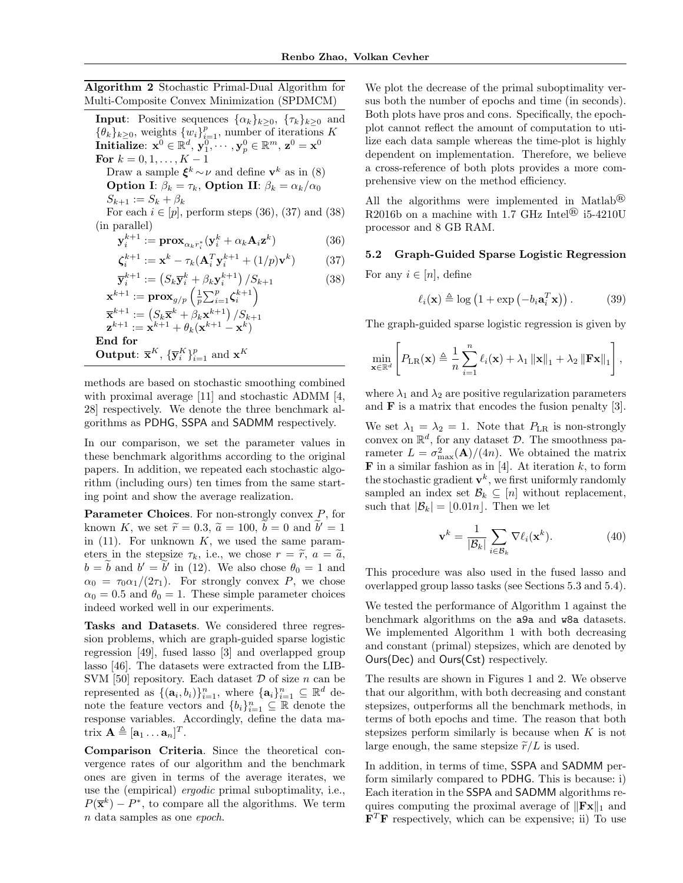<span id="page-6-0"></span>Algorithm 2 Stochastic Primal-Dual Algorithm for Multi-Composite Convex Minimization (SPDMCM)

**Input**: Positive sequences  $\{\alpha_k\}_{k\geq 0}$ ,  $\{\tau_k\}_{k\geq 0}$  and  $\{\theta_k\}_{k\geq 0}$ , weights  $\{w_i\}_{i=1}^p$ , number of iterations K  $\textbf{Initialize: } \mathbf{x}^0 \in \mathbb{R}^d, \, \mathbf{y}_1^0, \cdots, \mathbf{y}_p^0 \in \mathbb{R}^m, \, \mathbf{z}^0 = \mathbf{x}^0$ For  $k = 0, 1, ..., K - 1$ Draw a sample  $\xi^k \sim \nu$  and define  $\mathbf{v}^k$  as in [\(8\)](#page-2-4) **Option I:**  $\beta_k = \tau_k$ , **Option II:**  $\beta_k = \alpha_k/\alpha_0$  $S_{k+1} := S_k + \beta_k$ For each  $i \in [p]$ , perform steps [\(36\)](#page-6-1), [\(37\)](#page-6-2) and [\(38\)](#page-6-3) (in parallel)  $\mathbf{y}_i^{k+1} := \mathbf{prox}_{\alpha_k r_i^*} (\mathbf{y}_i^k + \alpha_k \mathbf{A}_i \mathbf{z}^k)$ ) (36)  $\boldsymbol{\zeta}_i^{k+1} := \mathbf{x}^k - \tau_k(\mathbf{A}_i^T \mathbf{y}_i^{k+1} + (1/p)\mathbf{v}^k$ ) (37)  $\overline{\mathbf{y}}_{i}^{k+1} := (S_k \overline{\mathbf{y}}_{i}^{k} + \beta_k \mathbf{y}_{i}^{k+1}) / S_{k+1}$  (38)

$$
\mathbf{x}^{k+1} := \mathbf{prox}_{g/p} \left( \frac{1}{p} \sum_{i=1}^p \zeta_i^{k+1} \right)
$$
  

$$
\overline{\mathbf{x}}^{k+1} := \left( S_k \overline{\mathbf{x}}^k + \beta_k \mathbf{x}^{k+1} \right) / S_{k+1}
$$
  

$$
\mathbf{z}^{k+1} := \mathbf{x}^{k+1} + \theta_k (\mathbf{x}^{k+1} - \mathbf{x}^k)
$$
  
End for  
Output: 
$$
\overline{\mathbf{x}}^K, \{\overline{\mathbf{y}}_i^K\}_{i=1}^p \text{ and } \mathbf{x}^K
$$

methods are based on stochastic smoothing combined with proximal average [\[11\]](#page-8-17) and stochastic ADMM [\[4,](#page-8-3) [28\]](#page-9-0) respectively. We denote the three benchmark algorithms as PDHG, SSPA and SADMM respectively.

In our comparison, we set the parameter values in these benchmark algorithms according to the original papers. In addition, we repeated each stochastic algorithm (including ours) ten times from the same starting point and show the average realization.

**Parameter Choices.** For non-strongly convex  $P$ , for known K, we set  $\tilde{r} = 0.3$ ,  $\tilde{a} = 100$ ,  $\tilde{b} = 0$  and  $\tilde{b}' = 1$ <br>in (11). For unknown K, we used the same paramin  $(11)$ . For unknown K, we used the same parameters in the stepsize  $\tau_k$ , i.e., we chose  $r = \tilde{r}$ ,  $a = \tilde{a}$ ,  $b = \tilde{b}$  and  $b' = \tilde{b}'$  in [\(12\)](#page-2-9). We also chose  $\theta_0 = 1$  and  $\alpha_0 = \tau_0 \alpha_1/(2\tau_1)$ . For strongly convex P, we chose  $\alpha_0 = 0.5$  and  $\theta_0 = 1$ . These simple parameter choices indeed worked well in our experiments.

Tasks and Datasets. We considered three regression problems, which are graph-guided sparse logistic regression [\[49\]](#page-9-16), fused lasso [\[3\]](#page-8-2) and overlapped group lasso [\[46\]](#page-9-12). The datasets were extracted from the LIB-SVM [\[50\]](#page-9-17) repository. Each dataset  $D$  of size n can be represented as  $\{(\mathbf{a}_i, b_i)\}_{i=1}^n$ , where  $\{\mathbf{a}_i\}_{i=1}^n \subseteq \mathbb{R}^d$  denote the feature vectors and  ${b_i}_{i=1}^n \subseteq \mathbb{R}$  denote the response variables. Accordingly, define the data matrix  $\mathbf{A} \triangleq [\mathbf{a}_1 \dots \mathbf{a}_n]^T$ .

Comparison Criteria. Since the theoretical convergence rates of our algorithm and the benchmark ones are given in terms of the average iterates, we use the (empirical) ergodic primal suboptimality, i.e.,  $P(\overline{\mathbf{x}}^k) - P^*$ , to compare all the algorithms. We term n data samples as one epoch.

We plot the decrease of the primal suboptimality versus both the number of epochs and time (in seconds). Both plots have pros and cons. Specifically, the epochplot cannot reflect the amount of computation to utilize each data sample whereas the time-plot is highly dependent on implementation. Therefore, we believe a cross-reference of both plots provides a more comprehensive view on the method efficiency.

All the algorithms were implemented in Matlab® R2016b on a machine with 1.7 GHz Intel<sup>®</sup> i5-4210U processor and 8 GB RAM.

# <span id="page-6-4"></span><span id="page-6-2"></span><span id="page-6-1"></span>5.2 Graph-Guided Sparse Logistic Regression

<span id="page-6-3"></span>For any  $i \in [n]$ , define

$$
\ell_i(\mathbf{x}) \triangleq \log\left(1 + \exp\left(-b_i \mathbf{a}_i^T \mathbf{x}\right)\right). \tag{39}
$$

The graph-guided sparse logistic regression is given by

$$
\min_{\mathbf{x} \in \mathbb{R}^d} \left[ P_{LR}(\mathbf{x}) \triangleq \frac{1}{n} \sum_{i=1}^n \ell_i(\mathbf{x}) + \lambda_1 \left\| \mathbf{x} \right\|_1 + \lambda_2 \left\| \mathbf{F} \mathbf{x} \right\|_1 \right],
$$

where  $\lambda_1$  and  $\lambda_2$  are positive regularization parameters and F is a matrix that encodes the fusion penalty [\[3\]](#page-8-2).

We set  $\lambda_1 = \lambda_2 = 1$ . Note that  $P_{LR}$  is non-strongly convex on  $\mathbb{R}^d$ , for any dataset  $\mathcal{D}$ . The smoothness parameter  $L = \sigma_{\text{max}}^2(\mathbf{A})/(4n)$ . We obtained the matrix **F** in a similar fashion as in [\[4\]](#page-8-3). At iteration  $k$ , to form the stochastic gradient  $\mathbf{v}^k$ , we first uniformly randomly sampled an index set  $\mathcal{B}_k \subseteq [n]$  without replacement, such that  $|\mathcal{B}_k| = |0.01n|$ . Then we let

$$
\mathbf{v}^k = \frac{1}{|\mathcal{B}_k|} \sum_{i \in \mathcal{B}_k} \nabla \ell_i(\mathbf{x}^k).
$$
 (40)

This procedure was also used in the fused lasso and overlapped group lasso tasks (see Sections [5.3](#page-7-0) and [5.4\)](#page-7-1).

We tested the performance of Algorithm [1](#page-2-3) against the benchmark algorithms on the a9a and w8a datasets. We implemented Algorithm [1](#page-2-3) with both decreasing and constant (primal) stepsizes, which are denoted by Ours(Dec) and Ours(Cst) respectively.

The results are shown in Figures [1](#page-7-2) and [2.](#page-7-3) We observe that our algorithm, with both decreasing and constant stepsizes, outperforms all the benchmark methods, in terms of both epochs and time. The reason that both stepsizes perform similarly is because when  $K$  is not large enough, the same stepsize  $\tilde{r}/L$  is used.

In addition, in terms of time, SSPA and SADMM perform similarly compared to PDHG. This is because: i) Each iteration in the SSPA and SADMM algorithms requires computing the proximal average of  $\|\mathbf{F_x}\|_1$  and  $\mathbf{F}^T\mathbf{F}$  respectively, which can be expensive; ii) To use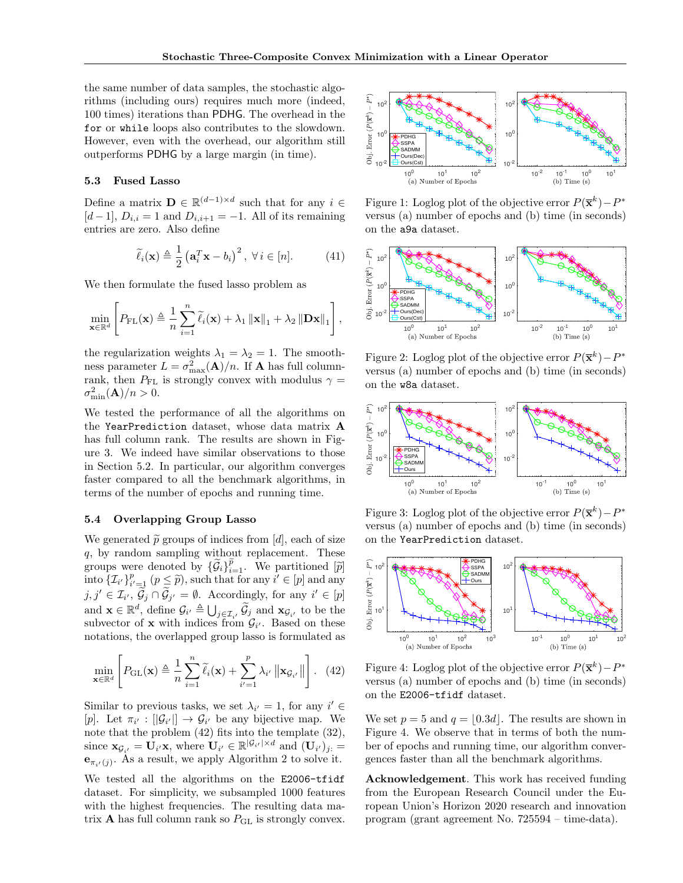,

the same number of data samples, the stochastic algorithms (including ours) requires much more (indeed, 100 times) iterations than PDHG. The overhead in the for or while loops also contributes to the slowdown. However, even with the overhead, our algorithm still outperforms PDHG by a large margin (in time).

## <span id="page-7-0"></span>5.3 Fused Lasso

Define a matrix  $\mathbf{D} \in \mathbb{R}^{(d-1)\times d}$  such that for any  $i \in$ [d − 1],  $D_{i,i} = 1$  and  $D_{i,i+1} = -1$ . All of its remaining entries are zero. Also define

$$
\widetilde{\ell}_i(\mathbf{x}) \triangleq \frac{1}{2} \left( \mathbf{a}_i^T \mathbf{x} - b_i \right)^2, \ \forall \, i \in [n]. \tag{41}
$$

We then formulate the fused lasso problem as

<span id="page-7-5"></span>
$$
\min_{\mathbf{x} \in \mathbb{R}^d} \left[ P_{\mathrm{FL}}(\mathbf{x}) \triangleq \frac{1}{n} \sum_{i=1}^n \widetilde{\ell}_i(\mathbf{x}) + \lambda_1 \left\| \mathbf{x} \right\|_1 + \lambda_2 \left\| \mathbf{D} \mathbf{x} \right\|_1 \right]
$$

the regularization weights  $\lambda_1 = \lambda_2 = 1$ . The smoothness parameter  $L = \sigma_{\text{max}}^2(\mathbf{A})/n$ . If **A** has full columnrank, then  $P_{\rm FL}$  is strongly convex with modulus  $\gamma =$  $\sigma_{\min}^2(\mathbf{A})/n > 0.$ 

We tested the performance of all the algorithms on the YearPrediction dataset, whose data matrix A has full column rank. The results are shown in Figure [3.](#page-7-4) We indeed have similar observations to those in Section [5.2.](#page-6-4) In particular, our algorithm converges faster compared to all the benchmark algorithms, in terms of the number of epochs and running time.

### <span id="page-7-1"></span>5.4 Overlapping Group Lasso

We generated  $\tilde{p}$  groups of indices from [d], each of size q, by random sampling without replacement. These groups were denoted by  $\{\widetilde{G}_i\}_{i=1}^{\widetilde{p}}$ . We partitioned  $[\widetilde{p}]$ <br>into  $[\mathcal{I}_v]^p$  ( $p \leq \widetilde{p}$ ) such that for any  $i' \in [p]$  and any into  $\{\mathcal{I}_{i'}\}_{i'=1}^p$   $(p \leq \tilde{p})$ , such that for any  $i' \in [p]$  and any  $j, j' \in \mathcal{I}_{i'}, \widetilde{\mathcal{G}}_j \cap \widetilde{\mathcal{G}}_{j'} = \emptyset$ . Accordingly, for any  $i' \in [p]$ and  $\mathbf{x} \in \mathbb{R}^d$ , define  $\mathcal{G}_{i'} \triangleq \bigcup_{j \in \mathcal{I}_{i'}} \widetilde{\mathcal{G}}_j$  and  $\mathbf{x}_{\mathcal{G}_{i'}}$  to be the subvector of **x** with indices from  $\mathcal{G}_{i'}$ . Based on these notations, the overlapped group lasso is formulated as

$$
\min_{\mathbf{x} \in \mathbb{R}^d} \left[ P_{\mathrm{GL}}(\mathbf{x}) \triangleq \frac{1}{n} \sum_{i=1}^n \widetilde{\ell}_i(\mathbf{x}) + \sum_{i'=1}^p \lambda_{i'} \left\| \mathbf{x}_{\mathcal{G}_{i'}} \right\| \right]. \tag{42}
$$

Similar to previous tasks, we set  $\lambda_{i'} = 1$ , for any  $i' \in$ [p]. Let  $\pi_{i'} : [\mathcal{G}_{i'}] \to \mathcal{G}_{i'}$  be any bijective map. We note that the problem [\(42\)](#page-7-5) fits into the template [\(32\)](#page-5-3), since  $\mathbf{x}_{\mathcal{G}_{i'}} = \mathbf{U}_{i'}\mathbf{x}$ , where  $\mathbf{U}_{i'} \in \mathbb{R}^{|\mathcal{G}_{i'}| \times d}$  and  $(\mathbf{U}_{i'})_{j}$ :  $\mathbf{e}_{\pi_{i'}(j)}$ . As a result, we apply Algorithm [2](#page-6-0) to solve it.

We tested all the algorithms on the E2006-tfidf dataset. For simplicity, we subsampled 1000 features with the highest frequencies. The resulting data matrix **A** has full column rank so  $P_{\text{GL}}$  is strongly convex.

<span id="page-7-2"></span>

Figure 1: Loglog plot of the objective error  $P(\overline{\mathbf{x}}^k) - P^*$ versus (a) number of epochs and (b) time (in seconds) on the a9a dataset.

<span id="page-7-3"></span>

Figure 2: Loglog plot of the objective error  $P(\overline{\mathbf{x}}^k) - P^*$ versus (a) number of epochs and (b) time (in seconds) on the w8a dataset.

<span id="page-7-4"></span>

Figure 3: Loglog plot of the objective error  $P(\overline{\mathbf{x}}^k) - P^*$ versus (a) number of epochs and (b) time (in seconds) on the YearPrediction dataset.

<span id="page-7-6"></span>

Figure 4: Loglog plot of the objective error  $P(\overline{\mathbf{x}}^k) - P^*$ versus (a) number of epochs and (b) time (in seconds) on the E2006-tfidf dataset.

We set  $p = 5$  and  $q = \lfloor 0.3d \rfloor$ . The results are shown in Figure [4.](#page-7-6) We observe that in terms of both the number of epochs and running time, our algorithm convergences faster than all the benchmark algorithms.

Acknowledgement. This work has received funding from the European Research Council under the European Union's Horizon 2020 research and innovation program (grant agreement No. 725594 – time-data).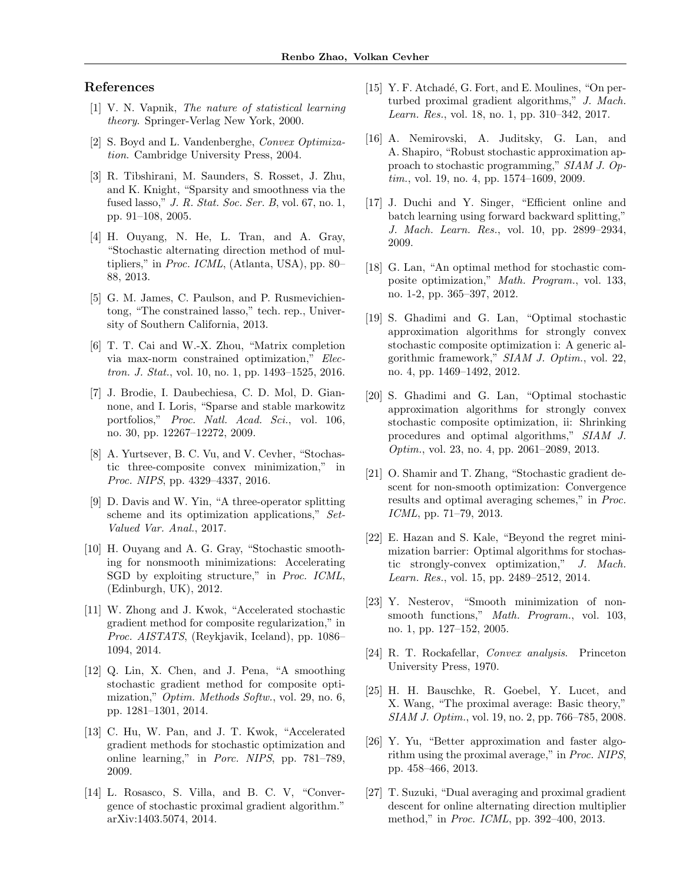# References

- <span id="page-8-0"></span>[1] V. N. Vapnik, The nature of statistical learning theory. Springer-Verlag New York, 2000.
- <span id="page-8-1"></span>[2] S. Boyd and L. Vandenberghe, Convex Optimization. Cambridge University Press, 2004.
- <span id="page-8-2"></span>[3] R. Tibshirani, M. Saunders, S. Rosset, J. Zhu, and K. Knight, "Sparsity and smoothness via the fused lasso," J. R. Stat. Soc. Ser. B, vol. 67, no. 1, pp. 91–108, 2005.
- <span id="page-8-3"></span>[4] H. Ouyang, N. He, L. Tran, and A. Gray, "Stochastic alternating direction method of multipliers," in Proc. ICML, (Atlanta, USA), pp. 80– 88, 2013.
- <span id="page-8-4"></span>[5] G. M. James, C. Paulson, and P. Rusmevichientong, "The constrained lasso," tech. rep., University of Southern California, 2013.
- <span id="page-8-5"></span>[6] T. T. Cai and W.-X. Zhou, "Matrix completion via max-norm constrained optimization," Electron. J. Stat., vol. 10, no. 1, pp. 1493–1525, 2016.
- <span id="page-8-6"></span>[7] J. Brodie, I. Daubechiesa, C. D. Mol, D. Giannone, and I. Loris, "Sparse and stable markowitz portfolios," Proc. Natl. Acad. Sci., vol. 106, no. 30, pp. 12267–12272, 2009.
- <span id="page-8-7"></span>[8] A. Yurtsever, B. C. Vu, and V. Cevher, "Stochastic three-composite convex minimization," in Proc. NIPS, pp. 4329–4337, 2016.
- <span id="page-8-8"></span>[9] D. Davis and W. Yin, "A three-operator splitting scheme and its optimization applications," Set-Valued Var. Anal., 2017.
- <span id="page-8-9"></span>[10] H. Ouyang and A. G. Gray, "Stochastic smoothing for nonsmooth minimizations: Accelerating SGD by exploiting structure," in Proc. ICML, (Edinburgh, UK), 2012.
- <span id="page-8-17"></span>[11] W. Zhong and J. Kwok, "Accelerated stochastic gradient method for composite regularization," in Proc. AISTATS, (Reykjavik, Iceland), pp. 1086– 1094, 2014.
- <span id="page-8-10"></span>[12] Q. Lin, X. Chen, and J. Pena, "A smoothing stochastic gradient method for composite optimization," *Optim. Methods Softw.*, vol. 29, no. 6, pp. 1281–1301, 2014.
- <span id="page-8-11"></span>[13] C. Hu, W. Pan, and J. T. Kwok, "Accelerated" gradient methods for stochastic optimization and online learning," in Porc. NIPS, pp. 781–789, 2009.
- <span id="page-8-21"></span>[14] L. Rosasco, S. Villa, and B. C. V, "Convergence of stochastic proximal gradient algorithm." arXiv:1403.5074, 2014.
- <span id="page-8-12"></span>[15] Y. F. Atchadé, G. Fort, and E. Moulines, "On perturbed proximal gradient algorithms," J. Mach. Learn. Res., vol. 18, no. 1, pp. 310–342, 2017.
- <span id="page-8-13"></span>[16] A. Nemirovski, A. Juditsky, G. Lan, and A. Shapiro, "Robust stochastic approximation approach to stochastic programming," SIAM J. Optim., vol. 19, no. 4, pp. 1574–1609, 2009.
- [17] J. Duchi and Y. Singer, "Efficient online and batch learning using forward backward splitting," J. Mach. Learn. Res., vol. 10, pp. 2899–2934, 2009.
- <span id="page-8-23"></span>[18] G. Lan, "An optimal method for stochastic composite optimization," Math. Program., vol. 133, no. 1-2, pp. 365–397, 2012.
- <span id="page-8-24"></span>[19] S. Ghadimi and G. Lan, "Optimal stochastic approximation algorithms for strongly convex stochastic composite optimization i: A generic algorithmic framework," SIAM J. Optim., vol. 22, no. 4, pp. 1469–1492, 2012.
- [20] S. Ghadimi and G. Lan, "Optimal stochastic approximation algorithms for strongly convex stochastic composite optimization, ii: Shrinking procedures and optimal algorithms," SIAM J. Optim., vol. 23, no. 4, pp. 2061–2089, 2013.
- <span id="page-8-22"></span>[21] O. Shamir and T. Zhang, "Stochastic gradient descent for non-smooth optimization: Convergence results and optimal averaging schemes," in Proc. ICML, pp. 71–79, 2013.
- <span id="page-8-14"></span>[22] E. Hazan and S. Kale, "Beyond the regret minimization barrier: Optimal algorithms for stochastic strongly-convex optimization," J. Mach. Learn. Res., vol. 15, pp. 2489–2512, 2014.
- <span id="page-8-15"></span>[23] Y. Nesterov, "Smooth minimization of nonsmooth functions," *Math. Program.*, vol. 103, no. 1, pp. 127–152, 2005.
- <span id="page-8-16"></span>[24] R. T. Rockafellar, Convex analysis. Princeton University Press, 1970.
- <span id="page-8-18"></span>[25] H. H. Bauschke, R. Goebel, Y. Lucet, and X. Wang, "The proximal average: Basic theory," SIAM J. Optim., vol. 19, no. 2, pp. 766–785, 2008.
- <span id="page-8-19"></span>[26] Y. Yu, "Better approximation and faster algorithm using the proximal average," in Proc. NIPS, pp. 458–466, 2013.
- <span id="page-8-20"></span>[27] T. Suzuki, "Dual averaging and proximal gradient descent for online alternating direction multiplier method," in Proc. ICML, pp. 392–400, 2013.